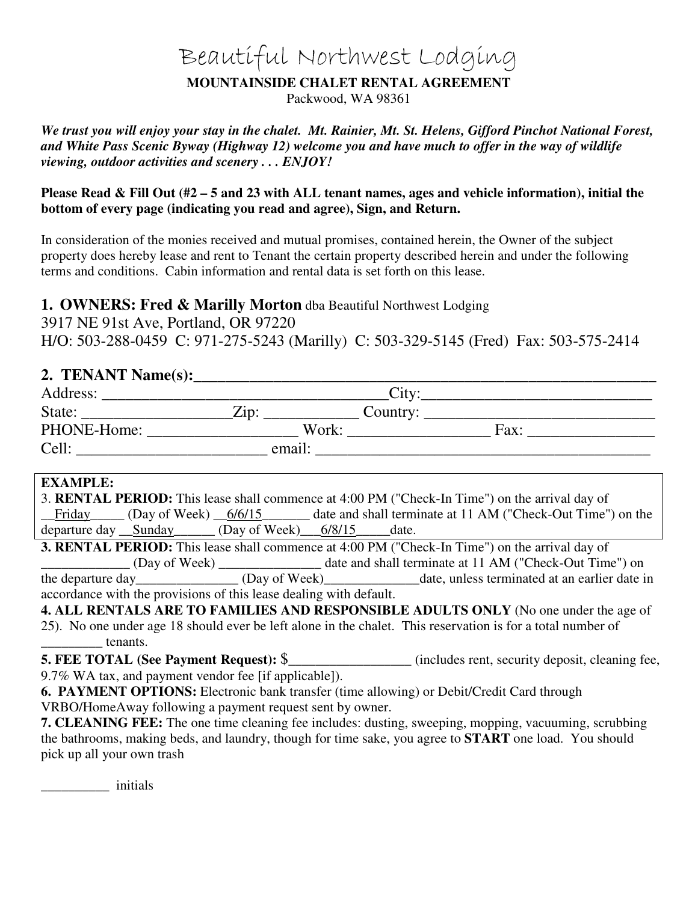# Beautiful Northwest Lodging

#### **MOUNTAINSIDE CHALET RENTAL AGREEMENT**

Packwood, WA 98361

*We trust you will enjoy your stay in the chalet. Mt. Rainier, Mt. St. Helens, Gifford Pinchot National Forest, and White Pass Scenic Byway (Highway 12) welcome you and have much to offer in the way of wildlife viewing, outdoor activities and scenery . . . ENJOY!* 

**Please Read & Fill Out (#2 – 5 and 23 with ALL tenant names, ages and vehicle information), initial the bottom of every page (indicating you read and agree), Sign, and Return.** 

In consideration of the monies received and mutual promises, contained herein, the Owner of the subject property does hereby lease and rent to Tenant the certain property described herein and under the following terms and conditions. Cabin information and rental data is set forth on this lease.

## **1. OWNERS: Fred & Marilly Morton** dba Beautiful Northwest Lodging

3917 NE 91st Ave, Portland, OR 97220 H/O: 503-288-0459 C: 971-275-5243 (Marilly) C: 503-329-5145 (Fred) Fax: 503-575-2414

# **2. TENANT Name(s):**\_\_\_\_\_\_\_\_\_\_\_\_\_\_\_\_\_\_\_\_\_\_\_\_\_\_\_\_\_\_\_\_\_\_\_\_\_\_\_\_\_\_\_\_\_\_\_\_\_\_\_\_\_\_\_\_\_\_

| Address:    | $\mathrm{Titv}$  |      |
|-------------|------------------|------|
| State:      | Zip.<br>Country: |      |
| PHONE-Home: | Work:            | Fax: |
| Cell:       | email:           |      |

#### **EXAMPLE:**

| 3. RENTAL PERIOD: This lease shall commence at 4:00 PM ("Check-In Time") on the arrival day of |  |                        |  |                                                             |
|------------------------------------------------------------------------------------------------|--|------------------------|--|-------------------------------------------------------------|
| $Friday$ (Day of Week) $6/6/15$                                                                |  |                        |  | date and shall terminate at 11 AM ("Check-Out Time") on the |
| departure day Sunday                                                                           |  | $(Day of Week)$ 6/8/15 |  | date.                                                       |

**3. RENTAL PERIOD:** This lease shall commence at 4:00 PM ("Check-In Time") on the arrival day of \_\_\_\_\_\_\_\_\_\_\_\_\_ (Day of Week) \_\_\_\_\_\_\_\_\_\_\_\_\_\_\_ date and shall terminate at 11 AM ("Check-Out Time") on the departure day \_\_\_\_\_\_\_\_\_\_\_\_\_\_\_ (Day of Week) date, unless terminated at an earlier date in accordance with the provisions of this lease dealing with default.

**4. ALL RENTALS ARE TO FAMILIES AND RESPONSIBLE ADULTS ONLY** (No one under the age of 25). No one under age 18 should ever be left alone in the chalet. This reservation is for a total number of \_\_\_\_\_\_\_\_\_ tenants.

**5. FEE TOTAL (See Payment Request):**  $\$\$  (includes rent, security deposit, cleaning fee,

9.7% WA tax, and payment vendor fee [if applicable]).

**6. PAYMENT OPTIONS:** Electronic bank transfer (time allowing) or Debit/Credit Card through VRBO/HomeAway following a payment request sent by owner.

**7. CLEANING FEE:** The one time cleaning fee includes: dusting, sweeping, mopping, vacuuming, scrubbing the bathrooms, making beds, and laundry, though for time sake, you agree to **START** one load. You should pick up all your own trash

\_\_\_\_\_\_\_\_\_\_ initials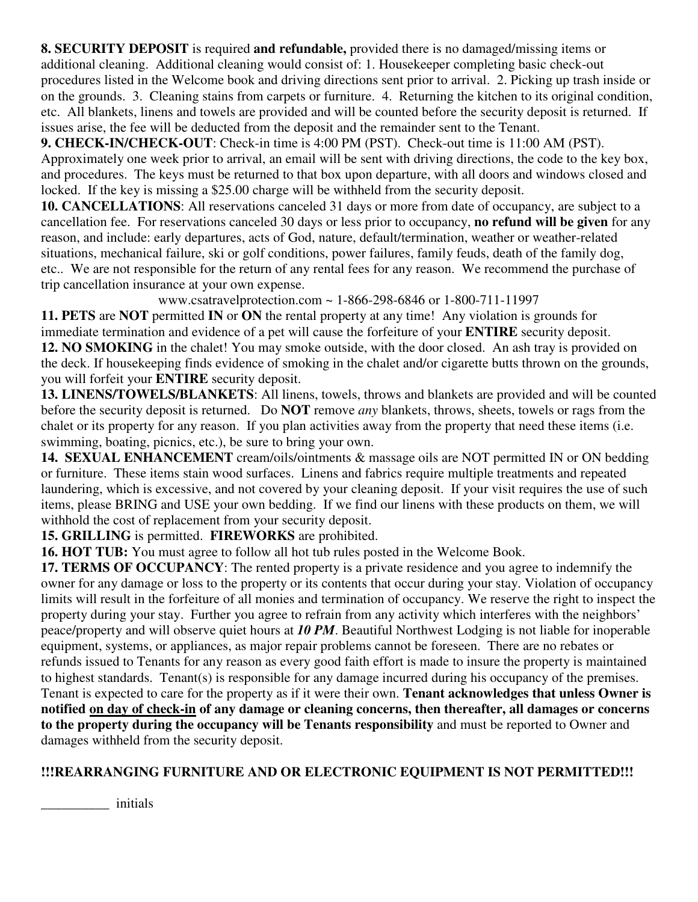**8. SECURITY DEPOSIT** is required **and refundable,** provided there is no damaged/missing items or additional cleaning. Additional cleaning would consist of: 1. Housekeeper completing basic check-out procedures listed in the Welcome book and driving directions sent prior to arrival. 2. Picking up trash inside or on the grounds. 3. Cleaning stains from carpets or furniture. 4. Returning the kitchen to its original condition, etc. All blankets, linens and towels are provided and will be counted before the security deposit is returned. If issues arise, the fee will be deducted from the deposit and the remainder sent to the Tenant.

**9. CHECK-IN/CHECK-OUT**: Check-in time is 4:00 PM (PST). Check-out time is 11:00 AM (PST). Approximately one week prior to arrival, an email will be sent with driving directions, the code to the key box, and procedures. The keys must be returned to that box upon departure, with all doors and windows closed and locked. If the key is missing a \$25.00 charge will be withheld from the security deposit.

**10. CANCELLATIONS**: All reservations canceled 31 days or more from date of occupancy, are subject to a cancellation fee. For reservations canceled 30 days or less prior to occupancy, **no refund will be given** for any reason, and include: early departures, acts of God, nature, default/termination, weather or weather-related situations, mechanical failure, ski or golf conditions, power failures, family feuds, death of the family dog, etc.. We are not responsible for the return of any rental fees for any reason. We recommend the purchase of trip cancellation insurance at your own expense.

www.csatravelprotection.com ~ 1-866-298-6846 or 1-800-711-11997

**11. PETS** are **NOT** permitted **IN** or **ON** the rental property at any time! Any violation is grounds for immediate termination and evidence of a pet will cause the forfeiture of your **ENTIRE** security deposit. **12. NO SMOKING** in the chalet! You may smoke outside, with the door closed. An ash tray is provided on the deck. If housekeeping finds evidence of smoking in the chalet and/or cigarette butts thrown on the grounds, you will forfeit your **ENTIRE** security deposit.

**13. LINENS/TOWELS/BLANKETS**: All linens, towels, throws and blankets are provided and will be counted before the security deposit is returned. Do **NOT** remove *any* blankets, throws, sheets, towels or rags from the chalet or its property for any reason. If you plan activities away from the property that need these items (i.e. swimming, boating, picnics, etc.), be sure to bring your own.

**14. SEXUAL ENHANCEMENT** cream/oils/ointments & massage oils are NOT permitted IN or ON bedding or furniture. These items stain wood surfaces. Linens and fabrics require multiple treatments and repeated laundering, which is excessive, and not covered by your cleaning deposit. If your visit requires the use of such items, please BRING and USE your own bedding. If we find our linens with these products on them, we will withhold the cost of replacement from your security deposit.

**15. GRILLING** is permitted. **FIREWORKS** are prohibited.

**16. HOT TUB:** You must agree to follow all hot tub rules posted in the Welcome Book.

**17. TERMS OF OCCUPANCY**: The rented property is a private residence and you agree to indemnify the owner for any damage or loss to the property or its contents that occur during your stay. Violation of occupancy limits will result in the forfeiture of all monies and termination of occupancy. We reserve the right to inspect the property during your stay. Further you agree to refrain from any activity which interferes with the neighbors' peace/property and will observe quiet hours at *10 PM*. Beautiful Northwest Lodging is not liable for inoperable equipment, systems, or appliances, as major repair problems cannot be foreseen. There are no rebates or refunds issued to Tenants for any reason as every good faith effort is made to insure the property is maintained to highest standards. Tenant(s) is responsible for any damage incurred during his occupancy of the premises. Tenant is expected to care for the property as if it were their own. **Tenant acknowledges that unless Owner is notified on day of check-in of any damage or cleaning concerns, then thereafter, all damages or concerns to the property during the occupancy will be Tenants responsibility** and must be reported to Owner and damages withheld from the security deposit.

## **!!!REARRANGING FURNITURE AND OR ELECTRONIC EQUIPMENT IS NOT PERMITTED!!!**

\_\_\_\_\_\_\_\_\_\_ initials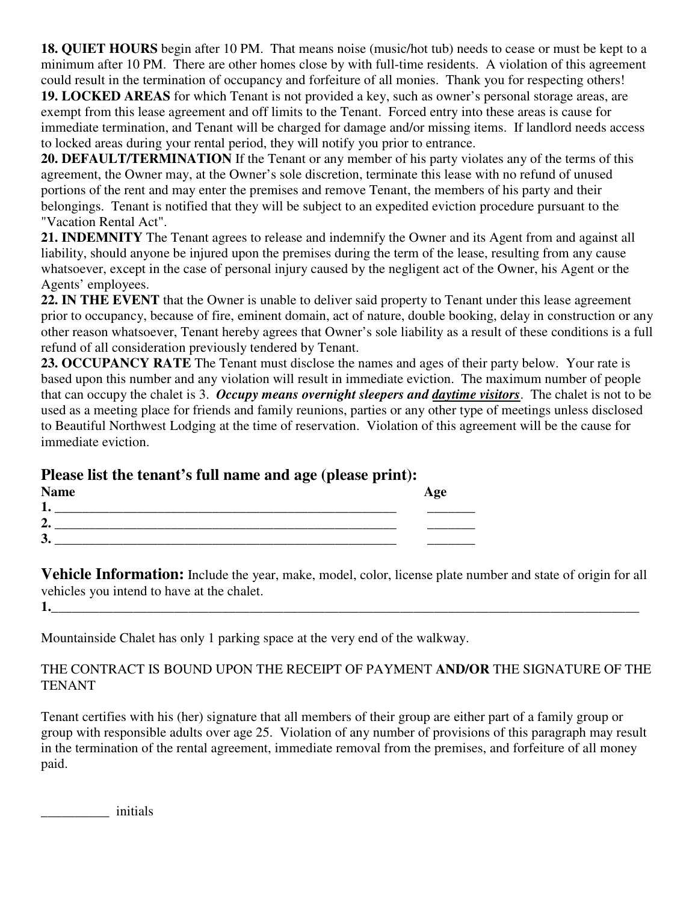**18. QUIET HOURS** begin after 10 PM. That means noise (music/hot tub) needs to cease or must be kept to a minimum after 10 PM. There are other homes close by with full-time residents. A violation of this agreement could result in the termination of occupancy and forfeiture of all monies. Thank you for respecting others!

**19. LOCKED AREAS** for which Tenant is not provided a key, such as owner's personal storage areas, are exempt from this lease agreement and off limits to the Tenant. Forced entry into these areas is cause for immediate termination, and Tenant will be charged for damage and/or missing items. If landlord needs access to locked areas during your rental period, they will notify you prior to entrance.

**20. DEFAULT/TERMINATION** If the Tenant or any member of his party violates any of the terms of this agreement, the Owner may, at the Owner's sole discretion, terminate this lease with no refund of unused portions of the rent and may enter the premises and remove Tenant, the members of his party and their belongings. Tenant is notified that they will be subject to an expedited eviction procedure pursuant to the "Vacation Rental Act".

**21. INDEMNITY** The Tenant agrees to release and indemnify the Owner and its Agent from and against all liability, should anyone be injured upon the premises during the term of the lease, resulting from any cause whatsoever, except in the case of personal injury caused by the negligent act of the Owner, his Agent or the Agents' employees.

**22. IN THE EVENT** that the Owner is unable to deliver said property to Tenant under this lease agreement prior to occupancy, because of fire, eminent domain, act of nature, double booking, delay in construction or any other reason whatsoever, Tenant hereby agrees that Owner's sole liability as a result of these conditions is a full refund of all consideration previously tendered by Tenant.

**23. OCCUPANCY RATE** The Tenant must disclose the names and ages of their party below. Your rate is based upon this number and any violation will result in immediate eviction. The maximum number of people that can occupy the chalet is 3. *Occupy means overnight sleepers and daytime visitors*. The chalet is not to be used as a meeting place for friends and family reunions, parties or any other type of meetings unless disclosed to Beautiful Northwest Lodging at the time of reservation. Violation of this agreement will be the cause for immediate eviction.

# **Please list the tenant's full name and age (please print):**

| <b>Name</b>         | Age |
|---------------------|-----|
| ٠<br>ı.             |     |
| ി<br>$\overline{a}$ |     |
| 3.                  |     |

**Vehicle Information:** Include the year, make, model, color, license plate number and state of origin for all vehicles you intend to have at the chalet.

**1.\_\_\_\_\_\_\_\_\_\_\_\_\_\_\_\_\_\_\_\_\_\_\_\_\_\_\_\_\_\_\_\_\_\_\_\_\_\_\_\_\_\_\_\_\_\_\_\_\_\_\_\_\_\_\_\_\_\_\_\_\_\_\_\_\_\_\_\_\_\_\_\_\_\_\_\_\_\_\_\_\_\_\_\_\_\_** 

Mountainside Chalet has only 1 parking space at the very end of the walkway.

## THE CONTRACT IS BOUND UPON THE RECEIPT OF PAYMENT **AND/OR** THE SIGNATURE OF THE TENANT

Tenant certifies with his (her) signature that all members of their group are either part of a family group or group with responsible adults over age 25. Violation of any number of provisions of this paragraph may result in the termination of the rental agreement, immediate removal from the premises, and forfeiture of all money paid.

\_\_\_\_\_\_\_\_\_\_ initials